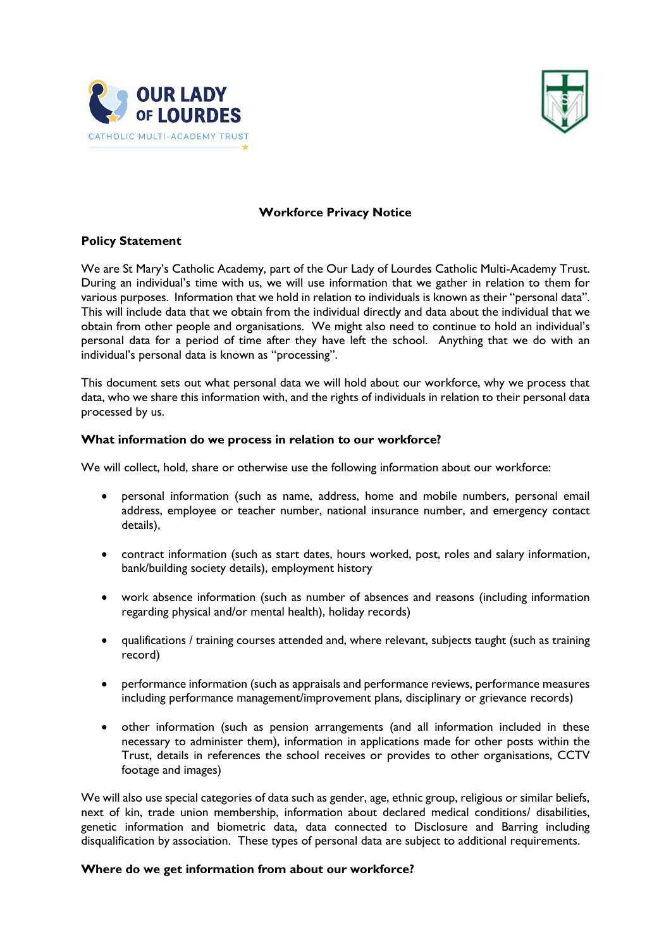



## **Workforce Privacy Notice**

# **Policy Statement**

We are St Mary's Catholic Academy, part of the Our Lady of Lourdes Catholic Multi-Academy Trust. During an individual's time with us, we will use information that we gather in relation to them for various purposes. Information that we hold in relation to individuals is known as their "personal data". This will include data that we obtain from the individual directly and data about the individual that we obtain from other people and organisations. We might also need to continue to hold an individual's personal data for a period of time after they have left the school. Anything that we do with an individual's personal data is known as "processing".

This document sets out what personal data we will hold about our workforce, why we process that data, who we share this information with, and the rights of individuals in relation to their personal data processed by us.

#### **What information do we process in relation to our workforce?**

We will collect, hold, share or otherwise use the following information about our workforce:

- personal information (such as name, address, home and mobile numbers, personal email address, employee or teacher number, national insurance number, and emergency contact details),
- contract information (such as start dates, hours worked, post, roles and salary information, bank/building society details), employment history
- work absence information (such as number of absences and reasons (including information regarding physical and/or mental health), holiday records)
- qualifications / training courses attended and, where relevant, subjects taught (such as training record)
- performance information (such as appraisals and performance reviews, performance measures including performance management/improvement plans, disciplinary or grievance records)
- other information (such as pension arrangements (and all information included in these necessary to administer them), information in applications made for other posts within the Trust, details in references the school receives or provides to other organisations, CCTV footage and images)

We will also use special categories of data such as gender, age, ethnic group, religious or similar beliefs, next of kin, trade union membership, information about declared medical conditions/ disabilities, genetic information and biometric data, data connected to Disclosure and Barring including disqualification by association. These types of personal data are subject to additional requirements.

## **Where do we get information from about our workforce?**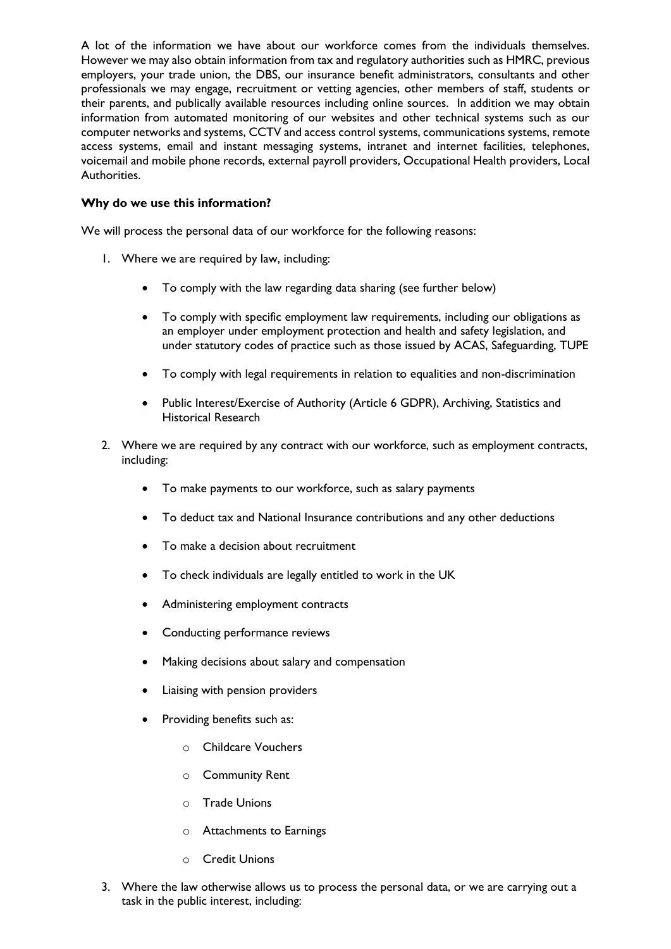A lot of the information we have about our workforce comes from the individuals themselves. However we may also obtain information from tax and regulatory authorities such as HMRC, previous employers, your trade union, the DBS, our insurance benefit administrators, consultants and other professionals we may engage, recruitment or vetting agencies, other members of staff, students or their parents, and publically available resources including online sources. In addition we may obtain information from automated monitoring of our websites and other technical systems such as our computer networks and systems, CCTV and access control systems, communications systems, remote access systems, email and instant messaging systems, intranet and internet facilities, telephones, voicemail and mobile phone records, external payroll providers, Occupational Health providers, Local Authorities.

## **Why do we use this information?**

We will process the personal data of our workforce for the following reasons:

- 1. Where we are required by law, including:
	- To comply with the law regarding data sharing (see further below)
	- To comply with specific employment law requirements, including our obligations as an employer under employment protection and health and safety legislation, and under statutory codes of practice such as those issued by ACAS, Safeguarding, TUPE
	- To comply with legal requirements in relation to equalities and non-discrimination
	- Public Interest/Exercise of Authority (Article 6 GDPR), Archiving, Statistics and Historical Research
- 2. Where we are required by any contract with our workforce, such as employment contracts, including:
	- To make payments to our workforce, such as salary payments
	- To deduct tax and National Insurance contributions and any other deductions
	- To make a decision about recruitment
	- To check individuals are legally entitled to work in the UK
	- Administering employment contracts
	- Conducting performance reviews
	- Making decisions about salary and compensation
	- Liaising with pension providers
	- Providing benefits such as:
		- o Childcare Vouchers
		- o Community Rent
		- o Trade Unions
		- o Attachments to Earnings
		- o Credit Unions
- 3. Where the law otherwise allows us to process the personal data, or we are carrying out a task in the public interest, including: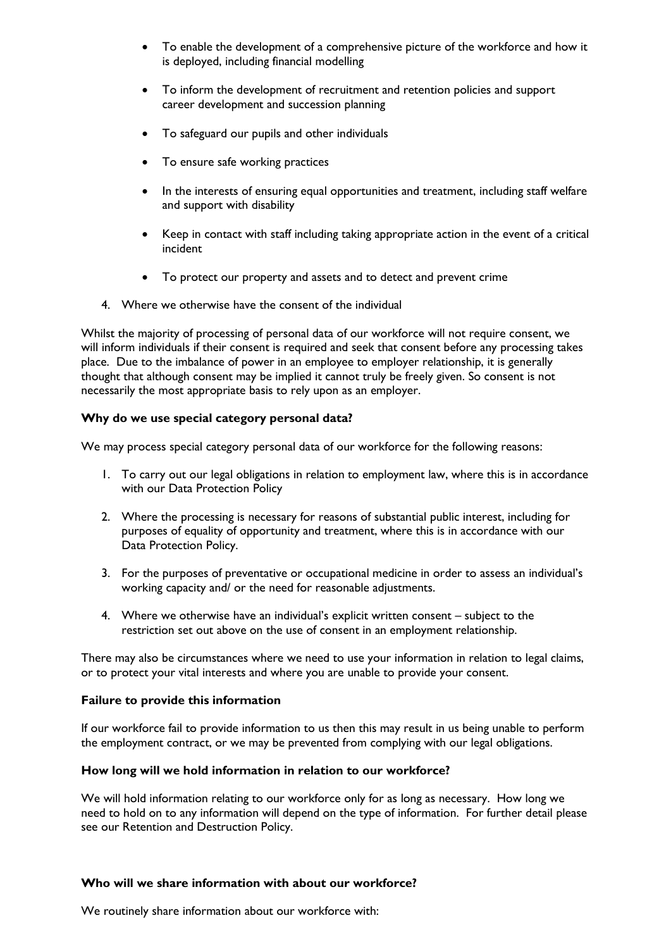- To enable the development of a comprehensive picture of the workforce and how it is deployed, including financial modelling
- To inform the development of recruitment and retention policies and support career development and succession planning
- To safeguard our pupils and other individuals
- To ensure safe working practices
- In the interests of ensuring equal opportunities and treatment, including staff welfare and support with disability
- Keep in contact with staff including taking appropriate action in the event of a critical incident
- To protect our property and assets and to detect and prevent crime
- 4. Where we otherwise have the consent of the individual

Whilst the majority of processing of personal data of our workforce will not require consent, we will inform individuals if their consent is required and seek that consent before any processing takes place. Due to the imbalance of power in an employee to employer relationship, it is generally thought that although consent may be implied it cannot truly be freely given. So consent is not necessarily the most appropriate basis to rely upon as an employer.

## **Why do we use special category personal data?**

We may process special category personal data of our workforce for the following reasons:

- 1. To carry out our legal obligations in relation to employment law, where this is in accordance with our Data Protection Policy
- 2. Where the processing is necessary for reasons of substantial public interest, including for purposes of equality of opportunity and treatment, where this is in accordance with our Data Protection Policy.
- 3. For the purposes of preventative or occupational medicine in order to assess an individual's working capacity and/ or the need for reasonable adjustments.
- 4. Where we otherwise have an individual's explicit written consent subject to the restriction set out above on the use of consent in an employment relationship.

There may also be circumstances where we need to use your information in relation to legal claims, or to protect your vital interests and where you are unable to provide your consent.

## **Failure to provide this information**

If our workforce fail to provide information to us then this may result in us being unable to perform the employment contract, or we may be prevented from complying with our legal obligations.

#### **How long will we hold information in relation to our workforce?**

We will hold information relating to our workforce only for as long as necessary. How long we need to hold on to any information will depend on the type of information. For further detail please see our Retention and Destruction Policy.

#### **Who will we share information with about our workforce?**

We routinely share information about our workforce with: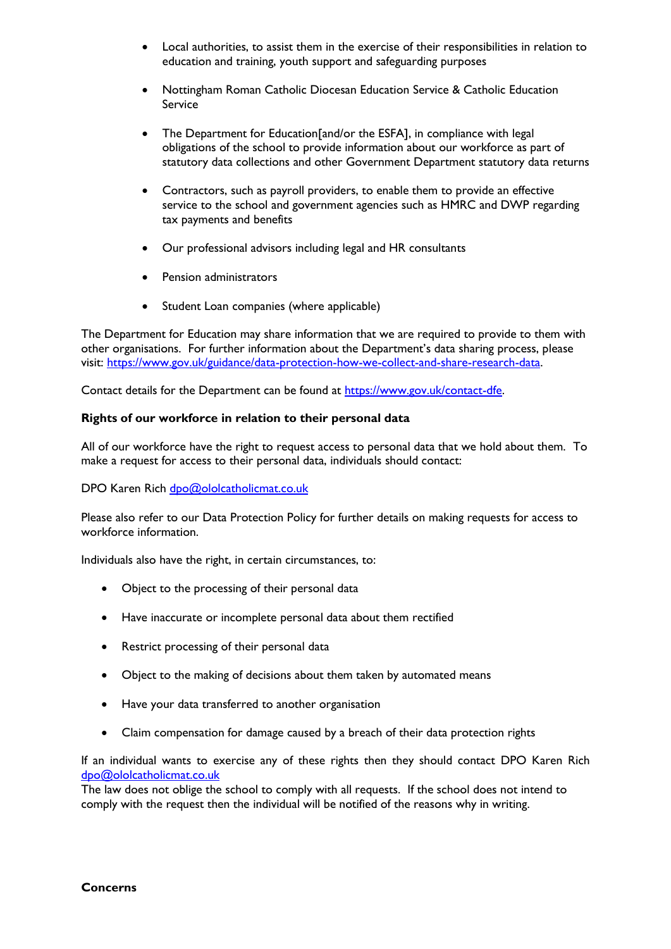- Local authorities, to assist them in the exercise of their responsibilities in relation to education and training, youth support and safeguarding purposes
- Nottingham Roman Catholic Diocesan Education Service & Catholic Education Service
- The Department for Education[and/or the ESFA], in compliance with legal obligations of the school to provide information about our workforce as part of statutory data collections and other Government Department statutory data returns
- Contractors, such as payroll providers, to enable them to provide an effective service to the school and government agencies such as HMRC and DWP regarding tax payments and benefits
- Our professional advisors including legal and HR consultants
- Pension administrators
- Student Loan companies (where applicable)

The Department for Education may share information that we are required to provide to them with other organisations. For further information about the Department's data sharing process, please visit: [https://www.gov.uk/guidance/data-protection-how-we-collect-and-share-research-data.](https://www.gov.uk/guidance/data-protection-how-we-collect-and-share-research-data)

Contact details for the Department can be found at [https://www.gov.uk/contact-dfe.](https://www.gov.uk/contact-dfe)

# **Rights of our workforce in relation to their personal data**

All of our workforce have the right to request access to personal data that we hold about them. To make a request for access to their personal data, individuals should contact:

# DPO Karen Rich [dpo@ololcatholicmat.co.uk](mailto:dpo@ololcatholicmat.co.uk)

Please also refer to our Data Protection Policy for further details on making requests for access to workforce information.

Individuals also have the right, in certain circumstances, to:

- Object to the processing of their personal data
- Have inaccurate or incomplete personal data about them rectified
- Restrict processing of their personal data
- Object to the making of decisions about them taken by automated means
- Have your data transferred to another organisation
- Claim compensation for damage caused by a breach of their data protection rights

If an individual wants to exercise any of these rights then they should contact DPO Karen Rich [dpo@ololcatholicmat.co.uk](mailto:dpo@ololcatholicmat.co.uk)

The law does not oblige the school to comply with all requests. If the school does not intend to comply with the request then the individual will be notified of the reasons why in writing.